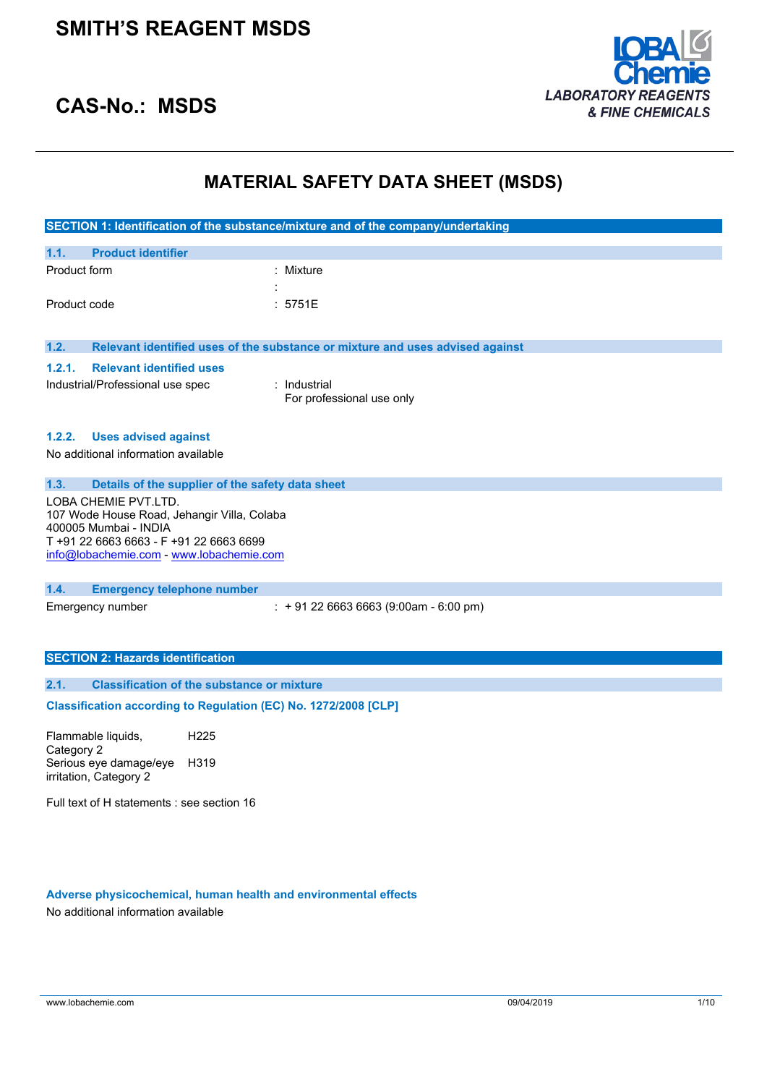

### **CAS-No.: MSDS**

### **MATERIAL SAFETY DATA SHEET (MSDS)**

|              |                                                                      | SECTION 1: Identification of the substance/mixture and of the company/undertaking |
|--------------|----------------------------------------------------------------------|-----------------------------------------------------------------------------------|
|              |                                                                      |                                                                                   |
| 1.1.         | <b>Product identifier</b>                                            |                                                                                   |
| Product form |                                                                      | : Mixture                                                                         |
|              |                                                                      |                                                                                   |
| Product code |                                                                      | : 5751E                                                                           |
|              |                                                                      |                                                                                   |
| 1.2.         |                                                                      | Relevant identified uses of the substance or mixture and uses advised against     |
| 1.2.1.       | <b>Relevant identified uses</b>                                      |                                                                                   |
|              | Industrial/Professional use spec                                     | : Industrial                                                                      |
|              |                                                                      | For professional use only                                                         |
|              |                                                                      |                                                                                   |
|              | 1.2.2. Uses advised against                                          |                                                                                   |
|              | No additional information available                                  |                                                                                   |
|              |                                                                      |                                                                                   |
| 1.3.         | Details of the supplier of the safety data sheet                     |                                                                                   |
|              | LOBA CHEMIE PVT.LTD.                                                 |                                                                                   |
|              | 107 Wode House Road, Jehangir Villa, Colaba<br>400005 Mumbai - INDIA |                                                                                   |
|              | T +91 22 6663 6663 - F +91 22 6663 6699                              |                                                                                   |
|              | info@lobachemie.com - www.lobachemie.com                             |                                                                                   |
|              |                                                                      |                                                                                   |
| 1.4.         | <b>Emergency telephone number</b>                                    |                                                                                   |
|              | Emergency number                                                     | $\div$ + 91 22 6663 6663 (9:00am - 6:00 pm)                                       |
|              |                                                                      |                                                                                   |
|              |                                                                      |                                                                                   |
|              | <b>SECTION 2: Hazards identification</b>                             |                                                                                   |
| 2.1.         | <b>Classification of the substance or mixture</b>                    |                                                                                   |
|              |                                                                      |                                                                                   |
|              | Classification according to Regulation (EC) No. 1272/2008 [CLP]      |                                                                                   |

Flammable liquids, Category 2 H225 Serious eye damage/eye H319 irritation, Category 2

Full text of H statements : see section 16

#### **Adverse physicochemical, human health and environmental effects**

No additional information available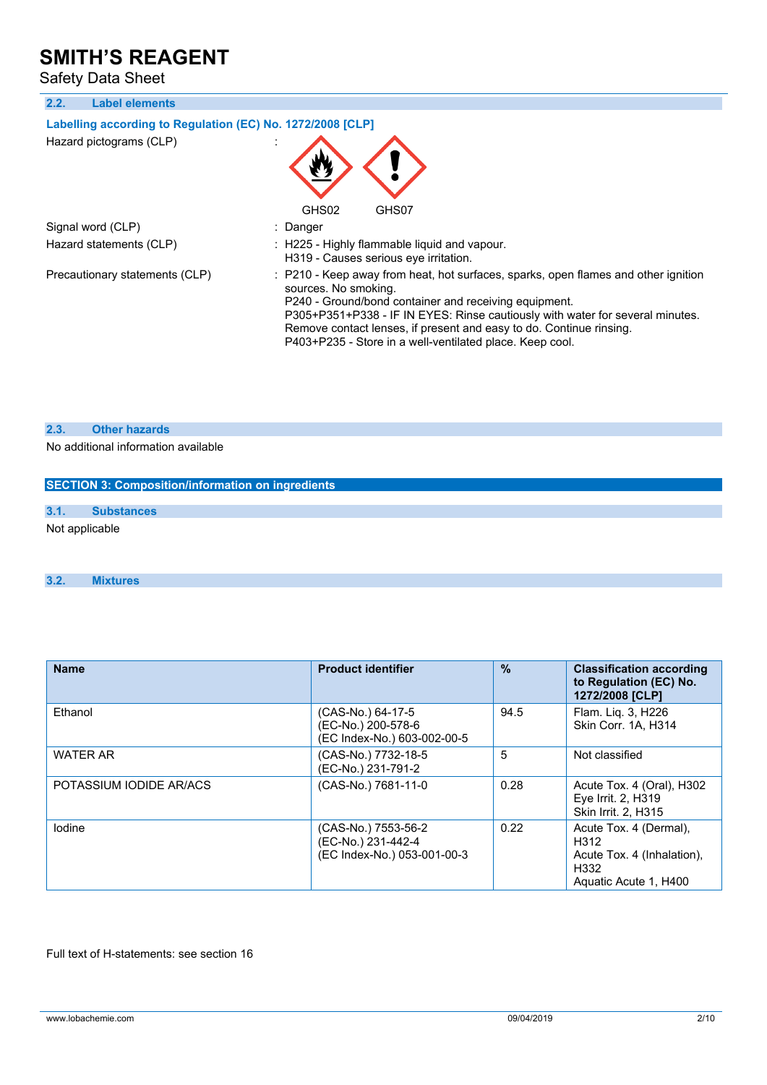Safety Data Sheet

**2.2. Label elements**

### **Labelling** according to Regulation (EC) No. 1272/2008 [CLP]

| Hazard pictograms (CLP) |  |
|-------------------------|--|
|-------------------------|--|



Signal word (CLP) : Danger

Hazard statements (CLP) : H225 - Highly flammable liquid and vapour.

Precautionary statements (CLP) : P210 - Keep away from heat, hot surfaces, sparks, open flames and other ignition sources. No smoking. P240 - Ground/bond container and receiving equipment.

P305+P351+P338 - IF IN EYES: Rinse cautiously with water for several minutes. Remove contact lenses, if present and easy to do. Continue rinsing. P403+P235 - Store in a well-ventilated place. Keep cool.

#### **2.3. Other hazards**

No additional information available

| <b>SECTION 3: Composition/information on ingredients</b> |                   |  |  |  |
|----------------------------------------------------------|-------------------|--|--|--|
|                                                          |                   |  |  |  |
| 3.1.                                                     | <b>Substances</b> |  |  |  |
| Not applicable                                           |                   |  |  |  |

H319 - Causes serious eye irritation.

#### **3.2. Mixtures**

| <b>Name</b>             | <b>Product identifier</b>                                                | $\frac{9}{6}$ | <b>Classification according</b><br>to Regulation (EC) No.<br>1272/2008 [CLP]                  |
|-------------------------|--------------------------------------------------------------------------|---------------|-----------------------------------------------------------------------------------------------|
| Ethanol                 | (CAS-No.) 64-17-5<br>(EC-No.) 200-578-6<br>(EC Index-No.) 603-002-00-5   | 94.5          | Flam. Liq. 3, H226<br>Skin Corr. 1A, H314                                                     |
| <b>WATER AR</b>         | (CAS-No.) 7732-18-5<br>(EC-No.) 231-791-2                                | 5             | Not classified                                                                                |
| POTASSIUM IODIDE AR/ACS | (CAS-No.) 7681-11-0                                                      | 0.28          | Acute Tox. 4 (Oral), H302<br>Eye Irrit. 2, H319<br>Skin Irrit. 2. H315                        |
| lodine                  | (CAS-No.) 7553-56-2<br>(EC-No.) 231-442-4<br>(EC Index-No.) 053-001-00-3 | 0.22          | Acute Tox. 4 (Dermal),<br>H312<br>Acute Tox. 4 (Inhalation).<br>H332<br>Aquatic Acute 1, H400 |

Full text of H-statements: see section 16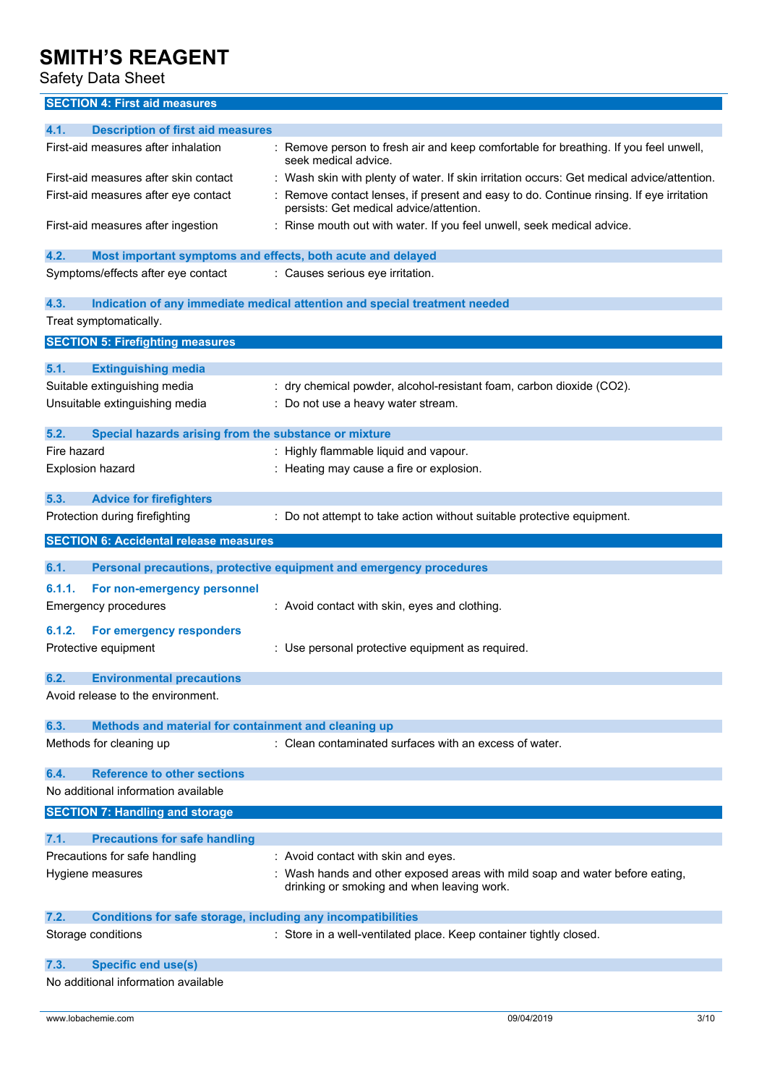Safety Data Sheet

### **SECTION 4: First aid measures**

| <b>Description of first aid measures</b><br>4.1.                            |                                                                                                                                  |
|-----------------------------------------------------------------------------|----------------------------------------------------------------------------------------------------------------------------------|
|                                                                             |                                                                                                                                  |
| First-aid measures after inhalation                                         | : Remove person to fresh air and keep comfortable for breathing. If you feel unwell,<br>seek medical advice.                     |
| First-aid measures after skin contact                                       | : Wash skin with plenty of water. If skin irritation occurs: Get medical advice/attention.                                       |
| First-aid measures after eye contact                                        | Remove contact lenses, if present and easy to do. Continue rinsing. If eye irritation<br>persists: Get medical advice/attention. |
| First-aid measures after ingestion                                          | : Rinse mouth out with water. If you feel unwell, seek medical advice.                                                           |
| 4.2.<br>Most important symptoms and effects, both acute and delayed         |                                                                                                                                  |
| Symptoms/effects after eye contact                                          | : Causes serious eye irritation.                                                                                                 |
| 4.3.                                                                        | Indication of any immediate medical attention and special treatment needed                                                       |
| Treat symptomatically.                                                      |                                                                                                                                  |
| <b>SECTION 5: Firefighting measures</b>                                     |                                                                                                                                  |
|                                                                             |                                                                                                                                  |
| 5.1.<br><b>Extinguishing media</b>                                          |                                                                                                                                  |
| Suitable extinguishing media                                                | : dry chemical powder, alcohol-resistant foam, carbon dioxide (CO2).                                                             |
| Unsuitable extinguishing media                                              | : Do not use a heavy water stream.                                                                                               |
|                                                                             |                                                                                                                                  |
| 5.2.<br>Special hazards arising from the substance or mixture               |                                                                                                                                  |
| Fire hazard                                                                 | : Highly flammable liquid and vapour.                                                                                            |
| <b>Explosion hazard</b>                                                     | : Heating may cause a fire or explosion.                                                                                         |
| 5.3.<br><b>Advice for firefighters</b>                                      |                                                                                                                                  |
|                                                                             |                                                                                                                                  |
| Protection during firefighting                                              | : Do not attempt to take action without suitable protective equipment.                                                           |
| <b>SECTION 6: Accidental release measures</b>                               |                                                                                                                                  |
|                                                                             |                                                                                                                                  |
|                                                                             |                                                                                                                                  |
| 6.1.                                                                        | Personal precautions, protective equipment and emergency procedures                                                              |
| 6.1.1.<br>For non-emergency personnel                                       |                                                                                                                                  |
| <b>Emergency procedures</b>                                                 | : Avoid contact with skin, eyes and clothing.                                                                                    |
| 6.1.2.                                                                      |                                                                                                                                  |
| For emergency responders                                                    |                                                                                                                                  |
| Protective equipment                                                        | : Use personal protective equipment as required.                                                                                 |
| 6.2.<br><b>Environmental precautions</b>                                    |                                                                                                                                  |
| Avoid release to the environment.                                           |                                                                                                                                  |
|                                                                             |                                                                                                                                  |
| Methods and material for containment and cleaning up<br>6.3.                |                                                                                                                                  |
| Methods for cleaning up                                                     | : Clean contaminated surfaces with an excess of water.                                                                           |
|                                                                             |                                                                                                                                  |
| <b>Reference to other sections</b><br>6.4.                                  |                                                                                                                                  |
| No additional information available                                         |                                                                                                                                  |
| <b>SECTION 7: Handling and storage</b>                                      |                                                                                                                                  |
|                                                                             |                                                                                                                                  |
| 7.1.<br><b>Precautions for safe handling</b>                                |                                                                                                                                  |
| Precautions for safe handling                                               | : Avoid contact with skin and eyes.                                                                                              |
| Hygiene measures                                                            | : Wash hands and other exposed areas with mild soap and water before eating,<br>drinking or smoking and when leaving work.       |
|                                                                             |                                                                                                                                  |
| 7.2.<br><b>Conditions for safe storage, including any incompatibilities</b> |                                                                                                                                  |
| Storage conditions                                                          | : Store in a well-ventilated place. Keep container tightly closed.                                                               |
|                                                                             |                                                                                                                                  |
| 7.3.<br><b>Specific end use(s)</b><br>No additional information available   |                                                                                                                                  |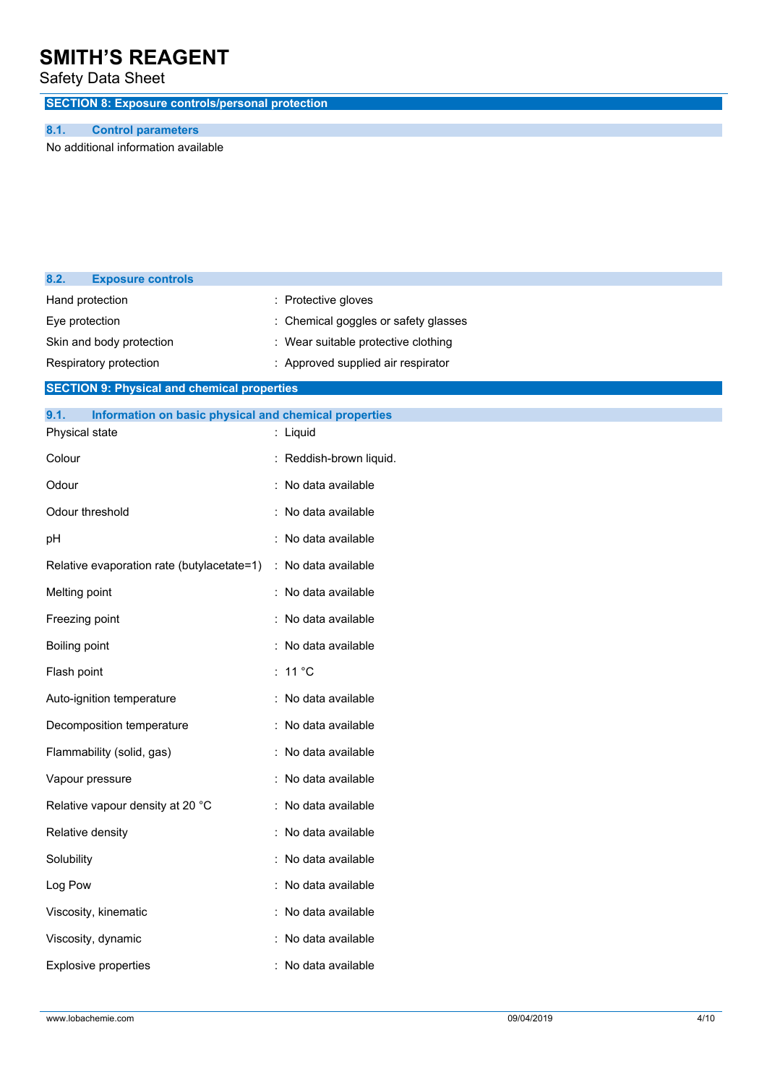Safety Data Sheet

**SECTION 8: Exposure controls/personal protection**

### **8.1. Control parameters**

No additional information available

| 8.2.                     | <b>Exposure controls</b>                              |                                    |
|--------------------------|-------------------------------------------------------|------------------------------------|
|                          | Hand protection                                       | : Protective gloves                |
| Eye protection           |                                                       | Chemical goggles or safety glasses |
| Skin and body protection |                                                       | Wear suitable protective clothing  |
|                          | Respiratory protection                                | : Approved supplied air respirator |
|                          | <b>SECTION 9: Physical and chemical properties</b>    |                                    |
| 9.1.                     | Information on basic physical and chemical properties |                                    |
| Physical state           |                                                       | : Liquid                           |
| Colour                   |                                                       | : Reddish-brown liquid.            |
| Odour                    |                                                       | : No data available                |
|                          | Odour threshold                                       | : No data available                |
| pH                       |                                                       | : No data available                |
|                          | Relative evaporation rate (butylacetate=1)            | : No data available                |
| Melting point            |                                                       | : No data available                |
| Freezing point           |                                                       | : No data available                |
| Boiling point            |                                                       | : No data available                |
| Flash point              |                                                       | $: 11^{\circ}$ C                   |
|                          | Auto-ignition temperature                             | : No data available                |
|                          | Decomposition temperature                             | : No data available                |
|                          | Flammability (solid, gas)                             | : No data available                |
|                          | Vapour pressure                                       | : No data available                |
|                          | Relative vapour density at 20 °C                      | : No data available                |
|                          | Relative density                                      | No data available                  |
| Solubility               |                                                       | : No data available                |
| Log Pow                  |                                                       | : No data available                |
|                          | Viscosity, kinematic                                  | : No data available                |
| Viscosity, dynamic       |                                                       | : No data available                |
| Explosive properties     |                                                       | : No data available                |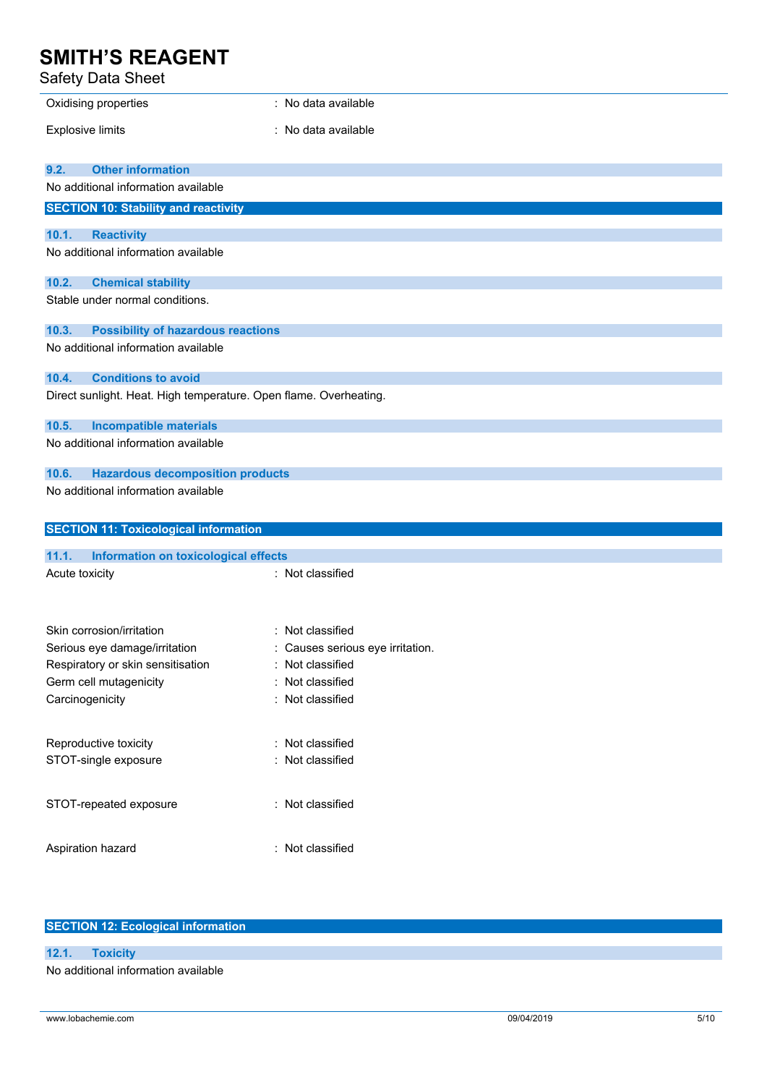### Safety Data Sheet

| Sarety Data Sheet                                                       |                                    |
|-------------------------------------------------------------------------|------------------------------------|
| Oxidising properties                                                    | : No data available                |
| <b>Explosive limits</b>                                                 | No data available                  |
| <b>Other information</b><br>9.2.<br>No additional information available |                                    |
| <b>SECTION 10: Stability and reactivity</b>                             |                                    |
| 10.1.<br><b>Reactivity</b>                                              |                                    |
| No additional information available                                     |                                    |
| 10.2.<br><b>Chemical stability</b>                                      |                                    |
| Stable under normal conditions.                                         |                                    |
| 10.3.<br><b>Possibility of hazardous reactions</b>                      |                                    |
| No additional information available                                     |                                    |
| 10.4.<br><b>Conditions to avoid</b>                                     |                                    |
| Direct sunlight. Heat. High temperature. Open flame. Overheating.       |                                    |
| 10.5.<br><b>Incompatible materials</b>                                  |                                    |
| No additional information available                                     |                                    |
| <b>Hazardous decomposition products</b><br>10.6.                        |                                    |
| No additional information available                                     |                                    |
| <b>SECTION 11: Toxicological information</b>                            |                                    |
| 11.1.<br>Information on toxicological effects                           |                                    |
| Acute toxicity                                                          | : Not classified                   |
|                                                                         |                                    |
| Skin corrosion/irritation                                               | : Not classified                   |
| Serious eye damage/irritation                                           | : Causes serious eye irritation.   |
| Respiratory or skin sensitisation                                       | : Not classified                   |
| Germ cell mutagenicity<br>Carcinogenicity                               | Not classified<br>: Not classified |
|                                                                         |                                    |
| Reproductive toxicity                                                   | : Not classified                   |
| STOT-single exposure                                                    | Not classified                     |
| STOT-repeated exposure                                                  | : Not classified                   |
| Aspiration hazard                                                       | : Not classified                   |

### **SECTION 12: Ecological information**

**12.1. Toxicity** No additional information available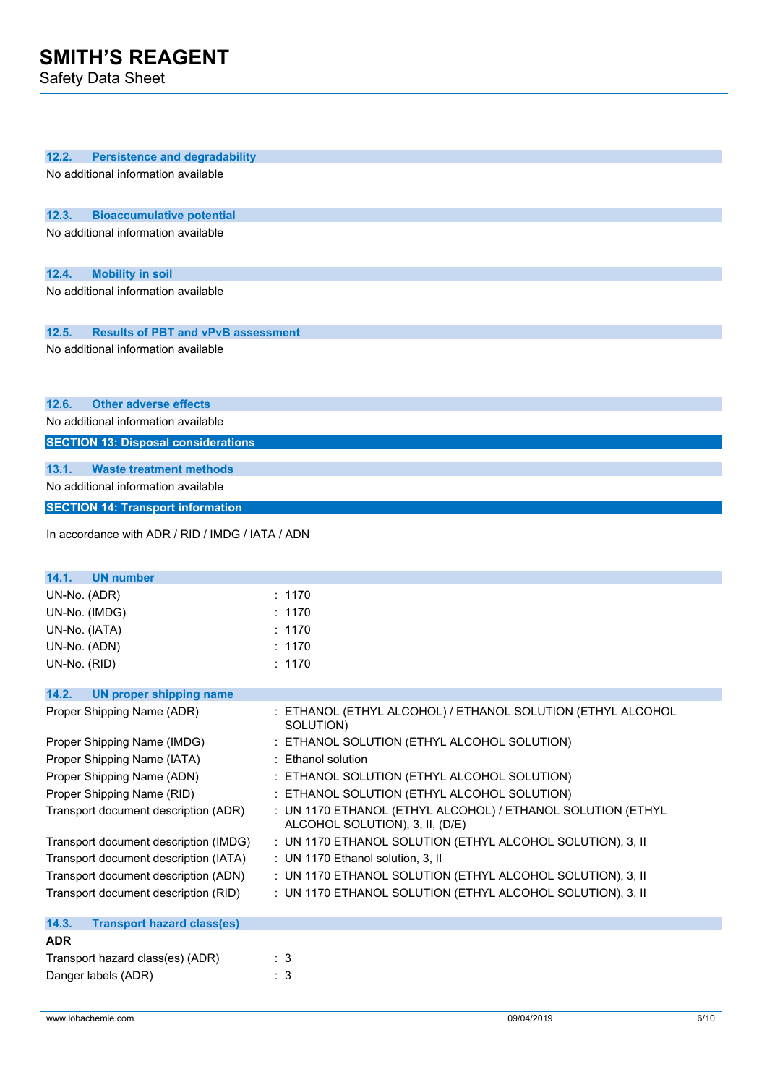Safety Data Sheet

| 12.2.<br><b>Persistence and degradability</b>    |                                                             |  |  |
|--------------------------------------------------|-------------------------------------------------------------|--|--|
| No additional information available              |                                                             |  |  |
|                                                  |                                                             |  |  |
|                                                  |                                                             |  |  |
| 12.3.<br><b>Bioaccumulative potential</b>        |                                                             |  |  |
| No additional information available              |                                                             |  |  |
|                                                  |                                                             |  |  |
| <b>Mobility in soil</b><br>12.4.                 |                                                             |  |  |
| No additional information available              |                                                             |  |  |
|                                                  |                                                             |  |  |
| <b>Results of PBT and vPvB assessment</b>        |                                                             |  |  |
| 12.5.                                            |                                                             |  |  |
| No additional information available              |                                                             |  |  |
|                                                  |                                                             |  |  |
|                                                  |                                                             |  |  |
| 12.6.<br><b>Other adverse effects</b>            |                                                             |  |  |
| No additional information available              |                                                             |  |  |
| <b>SECTION 13: Disposal considerations</b>       |                                                             |  |  |
|                                                  |                                                             |  |  |
| 13.1.<br><b>Waste treatment methods</b>          |                                                             |  |  |
| No additional information available              |                                                             |  |  |
| <b>SECTION 14: Transport information</b>         |                                                             |  |  |
|                                                  |                                                             |  |  |
| In accordance with ADR / RID / IMDG / IATA / ADN |                                                             |  |  |
|                                                  |                                                             |  |  |
| 14.1.<br><b>UN number</b>                        |                                                             |  |  |
| UN-No. (ADR)                                     | : 1170                                                      |  |  |
| UN-No. (IMDG)                                    | : 1170                                                      |  |  |
| UN-No. (IATA)                                    | : 1170                                                      |  |  |
| UN-No. (ADN)                                     | : 1170                                                      |  |  |
| UN-No. (RID)                                     | : 1170                                                      |  |  |
|                                                  |                                                             |  |  |
| 14.2.<br><b>UN proper shipping name</b>          |                                                             |  |  |
| Proper Shipping Name (ADR)                       | : ETHANOL (ETHYL ALCOHOL) / ETHANOL SOLUTION (ETHYL ALCOHOL |  |  |
|                                                  | SOLUTION)                                                   |  |  |
| Proper Shipping Name (IMDG)                      | : ETHANOL SOLUTION (ETHYL ALCOHOL SOLUTION)                 |  |  |
| Proper Shipping Name (IATA)                      | : Ethanol solution                                          |  |  |
| Proper Shipping Name (ADN)                       | : ETHANOL SOLUTION (ETHYL ALCOHOL SOLUTION)                 |  |  |
| Proper Shipping Name (RID)                       | : ETHANOL SOLUTION (ETHYL ALCOHOL SOLUTION)                 |  |  |
| Transport document description (ADR)             | : UN 1170 ETHANOL (ETHYL ALCOHOL) / ETHANOL SOLUTION (ETHYL |  |  |
|                                                  | ALCOHOL SOLUTION), 3, II, (D/E)                             |  |  |
| Transport document description (IMDG)            | : UN 1170 ETHANOL SOLUTION (ETHYL ALCOHOL SOLUTION), 3, II  |  |  |
| Transport document description (IATA)            | : UN 1170 Ethanol solution, 3, II                           |  |  |
| Transport document description (ADN)             | : UN 1170 ETHANOL SOLUTION (ETHYL ALCOHOL SOLUTION), 3, II  |  |  |
| Transport document description (RID)             | : UN 1170 ETHANOL SOLUTION (ETHYL ALCOHOL SOLUTION), 3, II  |  |  |
|                                                  |                                                             |  |  |
| 14.3.<br><b>Transport hazard class(es)</b>       |                                                             |  |  |
| <b>ADR</b>                                       |                                                             |  |  |
| Transport hazard class(es) (ADR)                 | : 3                                                         |  |  |
| Danger labels (ADR)                              | : 3                                                         |  |  |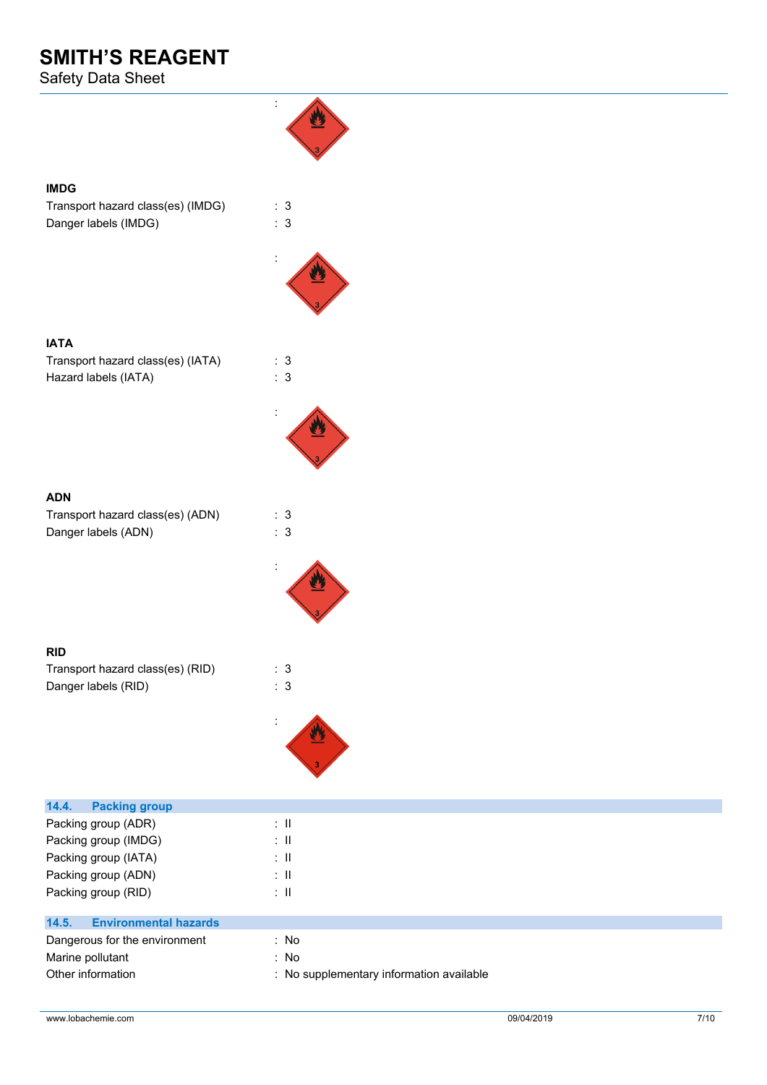Safety Data Sheet



| Packing group (IMDG)                  | : II                                     |
|---------------------------------------|------------------------------------------|
| Packing group (IATA)                  | ÷Ш                                       |
| Packing group (ADN)                   | ÷Ш                                       |
| Packing group (RID)                   | ÷Ш                                       |
| 14.5.<br><b>Environmental hazards</b> |                                          |
| Dangerous for the environment         | : No                                     |
| Marine pollutant                      | : No                                     |
| Other information                     | : No supplementary information available |
|                                       |                                          |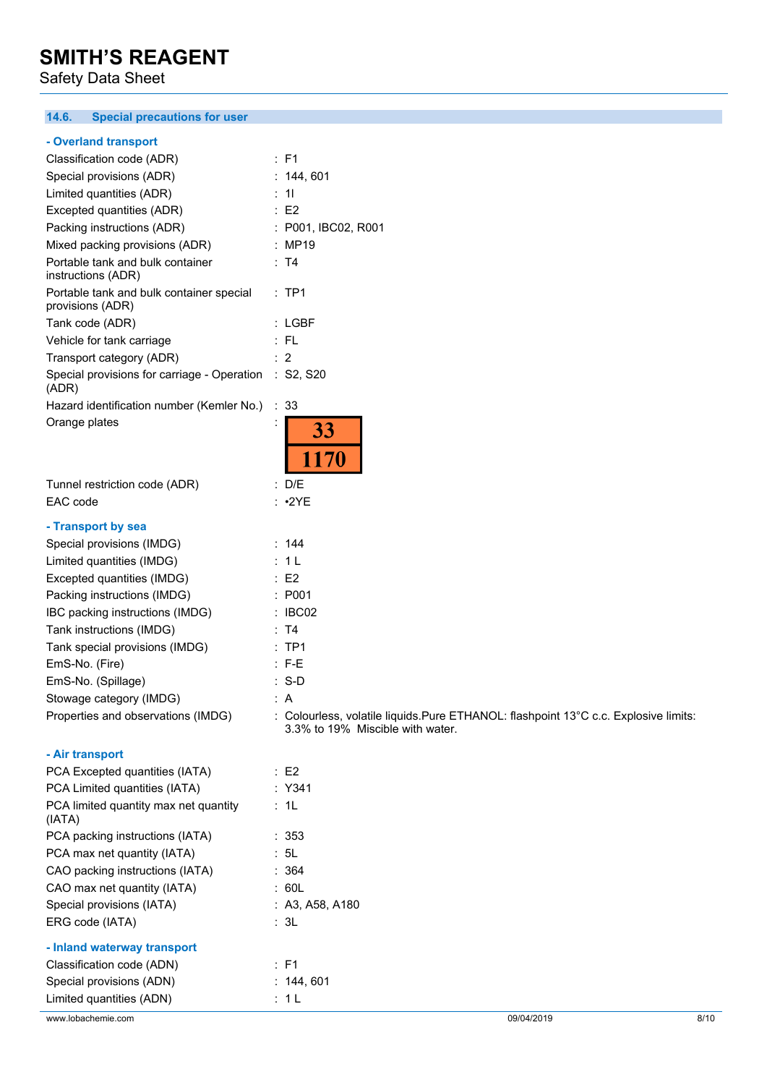Safety Data Sheet

#### **14.6. Special precautions for user**

#### **- Overland transport**

| Classification code (ADR)                                    | $:$ F1                                                                                                                   |
|--------------------------------------------------------------|--------------------------------------------------------------------------------------------------------------------------|
| Special provisions (ADR)                                     | : 144, 601                                                                                                               |
| Limited quantities (ADR)                                     | : 11                                                                                                                     |
| Excepted quantities (ADR)                                    | E2                                                                                                                       |
| Packing instructions (ADR)                                   | : P001, IBC02, R001                                                                                                      |
| Mixed packing provisions (ADR)                               | : MP19                                                                                                                   |
| Portable tank and bulk container<br>instructions (ADR)       | : T4                                                                                                                     |
| Portable tank and bulk container special<br>provisions (ADR) | $:$ TP1                                                                                                                  |
| Tank code (ADR)                                              | : LGBF                                                                                                                   |
| Vehicle for tank carriage                                    | :FL                                                                                                                      |
| Transport category (ADR)                                     | $\therefore$ 2                                                                                                           |
| Special provisions for carriage - Operation<br>(ADR)         | : S2, S20                                                                                                                |
| Hazard identification number (Kemler No.)                    | $\therefore$ 33                                                                                                          |
| Orange plates                                                | 33<br><b>170</b>                                                                                                         |
| Tunnel restriction code (ADR)                                | : D/E                                                                                                                    |
| EAC code                                                     | : 2YE                                                                                                                    |
| - Transport by sea                                           |                                                                                                                          |
| Special provisions (IMDG)                                    | : 144                                                                                                                    |
| Limited quantities (IMDG)                                    | : 1L                                                                                                                     |
| Excepted quantities (IMDG)                                   | E2                                                                                                                       |
| Packing instructions (IMDG)                                  | : P001                                                                                                                   |
| IBC packing instructions (IMDG)                              | $\therefore$ IBC02                                                                                                       |
| Tank instructions (IMDG)                                     | : T4                                                                                                                     |
| Tank special provisions (IMDG)                               | :TP1                                                                                                                     |
| EmS-No. (Fire)                                               | $: F-E$                                                                                                                  |
| EmS-No. (Spillage)                                           | $: S-D$                                                                                                                  |
| Stowage category (IMDG)                                      | : A                                                                                                                      |
| Properties and observations (IMDG)                           | : Colourless, volatile liquids. Pure ETHANOL: flashpoint 13°C c.c. Explosive limits:<br>3.3% to 19% Miscible with water. |
| - Air transport                                              |                                                                                                                          |
| PCA Excepted quantities (IATA)                               | $\therefore$ E2                                                                                                          |
| PCA Limited quantities (IATA)                                | : Y341                                                                                                                   |
|                                                              |                                                                                                                          |

| PCA Excepted quantities (IATA)                  | E2              |
|-------------------------------------------------|-----------------|
| PCA Limited quantities (IATA)                   | $:$ Y341        |
| PCA limited quantity max net quantity<br>(IATA) | : 1L            |
| PCA packing instructions (IATA)                 | : 353           |
| PCA max net quantity (IATA)                     | : 5L            |
| CAO packing instructions (IATA)                 | : 364           |
| CAO max net quantity (IATA)                     | : 60L           |
| Special provisions (IATA)                       | : A3, A58, A180 |
| ERG code (IATA)                                 | : 3L            |
| - Inland waterway transport                     |                 |
| Classification code (ADN)                       | : F1            |
| Special provisions (ADN)                        | : 144,601       |
| Limited quantities (ADN)                        | : 1 L           |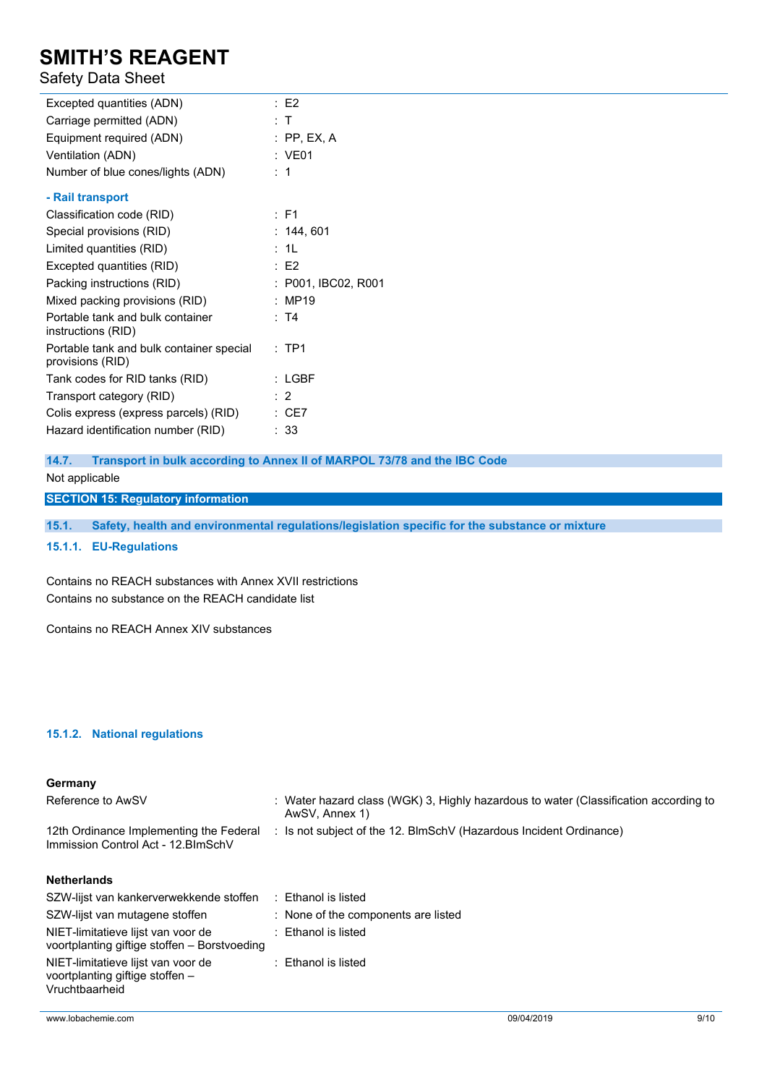### Safety Data Sheet

| Excepted quantities (ADN)                                    | E2                  |
|--------------------------------------------------------------|---------------------|
| Carriage permitted (ADN)                                     | : T                 |
| Equipment required (ADN)                                     | $:$ PP, EX, A       |
| Ventilation (ADN)                                            | : VE01              |
| Number of blue cones/lights (ADN)                            | :1                  |
| - Rail transport                                             |                     |
| Classification code (RID)                                    | $\therefore$ F1     |
| Special provisions (RID)                                     | : 144, 601          |
| Limited quantities (RID)                                     | : 1L                |
| Excepted quantities (RID)                                    | E2                  |
| Packing instructions (RID)                                   | : P001, IBC02, R001 |
| Mixed packing provisions (RID)                               | : MP19              |
| Portable tank and bulk container<br>instructions (RID)       | : T4                |
| Portable tank and bulk container special<br>provisions (RID) | $:$ TP1             |
| Tank codes for RID tanks (RID)                               | $:$ LGBF            |
| Transport category (RID)                                     | : 2                 |
| Colis express (express parcels) (RID)                        | $\therefore$ CE7    |
| Hazard identification number (RID)                           | : 33                |

**14.7. Transport in bulk according to Annex II of MARPOL 73/78 and the IBC Code** Not applicable

**SECTION 15: Regulatory information**

**15.1. Safety, health and environmental regulations/legislation specific for the substance or mixture**

**15.1.1. EU-Regulations**

Contains no REACH substances with Annex XVII restrictions Contains no substance on the REACH candidate list

Contains no REACH Annex XIV substances

#### **15.1.2. National regulations**

#### **Germany**

| Reference to AwSV                                                                       | : Water hazard class (WGK) 3, Highly hazardous to water (Classification according to<br>AwSV, Annex 1) |
|-----------------------------------------------------------------------------------------|--------------------------------------------------------------------------------------------------------|
| 12th Ordinance Implementing the Federal<br>Immission Control Act - 12. BlmSchV          | : Is not subject of the 12. BlmSchV (Hazardous Incident Ordinance)                                     |
| <b>Netherlands</b>                                                                      |                                                                                                        |
| SZW-lijst van kankerverwekkende stoffen                                                 | : Ethanol is listed                                                                                    |
| SZW-lijst van mutagene stoffen                                                          | : None of the components are listed                                                                    |
| NIET-limitatieve lijst van voor de<br>voortplanting giftige stoffen - Borstvoeding      | : Ethanol is listed                                                                                    |
| NIET-limitatieve lijst van voor de<br>voortplanting giftige stoffen -<br>Vruchtbaarheid | : Ethanol is listed                                                                                    |